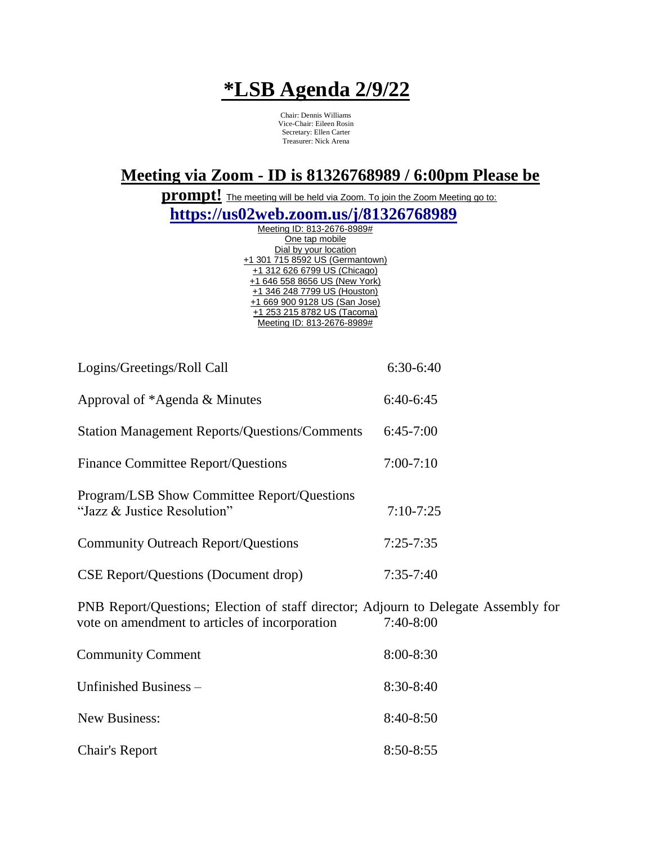## **\*LSB Agenda 2/9/22**

Chair: Dennis Williams Vice-Chair: Eileen Rosin Secretary: Ellen Carter Treasurer: Nick Arena

## **Meeting via Zoom - ID is 81326768989 / 6:00pm Please be**

**prompt!** The meeting will be held via Zoom. To join the Zoom Meeting go to:

**https://us02web.zoom.us/j/81326768989**

Meeting ID: 813-2676-8989# One tap mobile Dial by your location +1 301 715 8592 US (Germantown) +1 312 626 6799 US (Chicago) +1 646 558 8656 US (New York) +1 346 248 7799 US (Houston) +1 669 900 9128 US (San Jose) +1 253 215 8782 US (Tacoma) Meeting ID: 813-2676-8989#

| Logins/Greetings/Roll Call                                                 | $6:30-6:40$   |
|----------------------------------------------------------------------------|---------------|
| Approval of *Agenda & Minutes                                              | $6:40-6:45$   |
| <b>Station Management Reports/Questions/Comments</b>                       | $6:45-7:00$   |
| <b>Finance Committee Report/Questions</b>                                  | $7:00-7:10$   |
| Program/LSB Show Committee Report/Questions<br>"Jazz & Justice Resolution" | $7:10-7:25$   |
| <b>Community Outreach Report/Questions</b>                                 | $7:25 - 7:35$ |
| <b>CSE Report/Questions (Document drop)</b>                                | $7:35-7:40$   |
|                                                                            |               |

PNB Report/Questions; Election of staff director; Adjourn to Delegate Assembly for vote on amendment to articles of incorporation 7:40-8:00

| <b>Community Comment</b> | $8:00 - 8:30$ |
|--------------------------|---------------|
| Unfinished Business –    | $8:30-8:40$   |
| New Business:            | $8:40 - 8:50$ |
| <b>Chair's Report</b>    | $8:50 - 8:55$ |